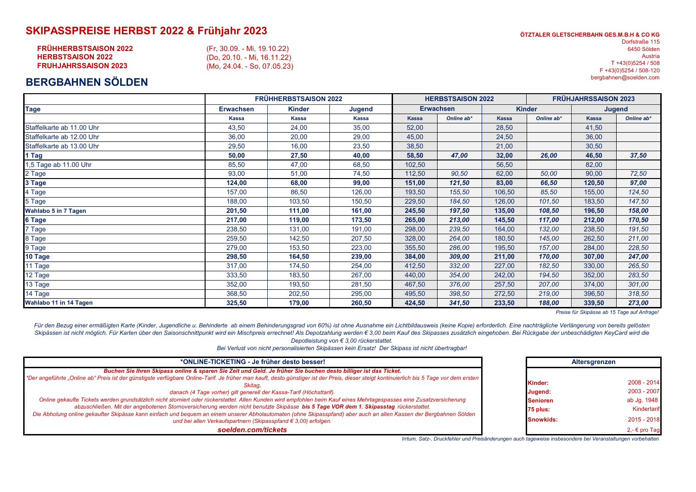## **SKIPASSPREISE HERBST 2022 & Frühjahr 2023**

| <b>FRÜHHERBSTSAISON 2022</b> | (Fr, 30.09. - Mi, 19.10.22) |
|------------------------------|-----------------------------|
| <b>HERBSTSAISON 2022</b>     | (Do, 20.10. - Mi, 16.11.22) |
| <b>FRUHJAHRSSAISON 2023</b>  | (Mo. 24.04. - So. 07.05.23) |
|                              |                             |

## **BERGBAHNEN SÖLDEN**

| ÖTZTALER GLETSCHERBAHN GES.M.B.H & CO KG |
|------------------------------------------|
| Dorfstraße 115                           |
| 6450 Sölden                              |
| Austria                                  |
| T +43(0)5254 / 508                       |
| F +43(0)5254 / 508-120                   |
| bergbahnen@soelden.com                   |

|                           | FRÜHHERBSTSAISON 2022 |               |        | <b>HERBSTSAISON 2022</b> |            |               | <b>FRÜHJAHRSSAISON 2023</b> |               |            |
|---------------------------|-----------------------|---------------|--------|--------------------------|------------|---------------|-----------------------------|---------------|------------|
| Tage                      | <b>Erwachsen</b>      | <b>Kinder</b> | Jugend | <b>Erwachsen</b>         |            | <b>Kinder</b> |                             | <b>Jugend</b> |            |
|                           | <b>Kassa</b>          | <b>Kassa</b>  | Kassa  | Kassa                    | Online ab* | <b>Kassa</b>  | Online ab*                  | <b>Kassa</b>  | Online ab* |
| Staffelkarte ab 11.00 Uhr | 43,50                 | 24,00         | 35,00  | 52,00                    |            | 28,50         |                             | 41,50         |            |
| Staffelkarte ab 12.00 Uhr | 36,00                 | 20,00         | 29,00  | 45,00                    |            | 24,50         |                             | 36,00         |            |
| Staffelkarte ab 13.00 Uhr | 29,50                 | 16,00         | 23,50  | 38,50                    |            | 21,00         |                             | 30,50         |            |
| 1 Tag                     | 50,00                 | 27,50         | 40,00  | 58,50                    | 47,00      | 32,00         | 26,00                       | 46,50         | 37,50      |
| 1,5 Tage ab 11.00 Uhr     | 85,50                 | 47,00         | 68,50  | 102,50                   |            | 56,50         |                             | 82,00         |            |
| 2 Tage                    | 93,00                 | 51,00         | 74,50  | 112,50                   | 90,50      | 62,00         | 50,00                       | 90,00         | 72,50      |
| 3 Tage                    | 124,00                | 68,00         | 99,00  | 151,00                   | 121,50     | 83,00         | 66,50                       | 120,50        | 97,00      |
| 4 Tage                    | 157,00                | 86,50         | 126,00 | 193,50                   | 155,50     | 106,50        | 85,50                       | 155,00        | 124,50     |
| 5 Tage                    | 188,00                | 103,50        | 150,50 | 229,50                   | 184,50     | 126,00        | 101,50                      | 183,50        | 147,50     |
| Wahlabo 5 in 7 Tagen      | 201,50                | 111,00        | 161,00 | 245,50                   | 197,50     | 135,00        | 108,50                      | 196,50        | 158,00     |
| 6 Tage                    | 217,00                | 119,00        | 173,50 | 265,00                   | 213,00     | 145,50        | 117,00                      | 212,00        | 170,50     |
| Tage                      | 238,50                | 131,00        | 191,00 | 298,00                   | 239,50     | 164,00        | 132,00                      | 238,50        | 191,50     |
| 8 Tage                    | 259,50                | 142,50        | 207,50 | 328,00                   | 264,00     | 180,50        | 145,00                      | 262,50        | 211,00     |
| 9 Tage                    | 279,00                | 153,50        | 223,00 | 355,50                   | 286,00     | 195,50        | 157,00                      | 284,00        | 228,50     |
| 10 Tage                   | 298,50                | 164,50        | 239,00 | 384,00                   | 309,00     | 211,00        | 170,00                      | 307,00        | 247,00     |
| 11 Tage                   | 317,00                | 174,50        | 254,00 | 412,50                   | 332,00     | 227,00        | 182,50                      | 330,00        | 265,50     |
| 12 Tage                   | 333,50                | 183,50        | 267,00 | 440,00                   | 354,00     | 242,00        | 194,50                      | 352,00        | 283,50     |
| 13 Tage                   | 352,00                | 193,50        | 281,50 | 467,50                   | 376,00     | 257,50        | 207,00                      | 374,00        | 301,00     |
| 14 Tage                   | 368,50                | 202,50        | 295,00 | 495,50                   | 398,50     | 272,50        | 219,00                      | 396,50        | 318,50     |
| Wahlabo 11 in 14 Tagen    | 325,50                | 179,00        | 260,50 | 424,50                   | 341,50     | 233,50        | 188,00                      | 339,50        | 273,00     |

*Preise für Skipässe ab 15 Tage auf Anfrage!*

Für den Bezug einer ermäßigten Karte (Kinder, Jugendliche u. Behinderte ab einem Behinderungsgrad von 60%) ist ohne Ausnahme ein Lichtbildausweis (keine Kopie) erforderlich. Eine nachträgliche Verlängerung von bereits gelö Skipässen ist nicht möglich. Für Karten über den Saisonschnittpunkt wird ein Mischpreis errechnet! Als Depotzahlung werden € 3,00 beim Kauf des Skipasses zusätzlich eingehoben. Bei Rückgabe der unbeschädigten KeyCard wird *Depotleistung von € 3,00 rückerstattet.* 

*Bei Verlust von nicht personalisierten Skipässen kein Ersatz! Der Skipass ist nicht übertragbar!*

| *ONLINE-TICKETING - Je früher desto besser!                                                                                                                                                                                          |  |                 | Altersgrenzen |
|--------------------------------------------------------------------------------------------------------------------------------------------------------------------------------------------------------------------------------------|--|-----------------|---------------|
| Buchen Sie Ihren Skipass online & sparen Sie Zeit und Geld. Je früher Sie buchen desto billiger ist das Ticket.                                                                                                                      |  |                 |               |
| *Der angeführte "Online ab" Preis ist der günstigste verfügbare Online-Tarif. Je früher man kauft, desto günstiger ist der Preis, dieser steigt kontinuierlich bis 5 Tage vor dem ersten<br>Skitaa.                                  |  | <b>Kinder:</b>  | 2008 - 2014   |
| danach (4 Tage vorher) gilt generell der Kassa-Tarif (Höchsttarif).                                                                                                                                                                  |  | Jugend:         | 2003 - 2007   |
| Online gekaufte Tickets werden grundsätzlich nicht storniert oder rückerstattet. Allen Kunden wird empfohlen beim Kauf eines Mehrtagespasses eine Zusatzversicherung                                                                 |  | <b>Senioren</b> | ab Jg. 1948   |
| abzuschließen. Mit der angebotenen Stornoversicherung werden nicht benutzte Skipässe bis 5 Tage VOR dem 1. Skipasstag rückerstattet.                                                                                                 |  | 75 plus:        | Kindertarif   |
| Die Abholung online gekaufter Skipässe kann einfach und bequem an einem unserer Abholautomaten (ohne Skipasspfand) aber auch an allen Kassen der Bergbahnen Sölden<br>und bei allen Verkaufspartnern (Skipasspfand € 3,00) erfolgen. |  | Snowkids:       | $2015 - 2018$ |
| soelden.com/tickets                                                                                                                                                                                                                  |  |                 | 2,- € pro Tag |

*Irrtum, Satz-, Druckfehler und Preisänderungen auch tageweise insbesondere bei Veranstaltungen vorbehalten*